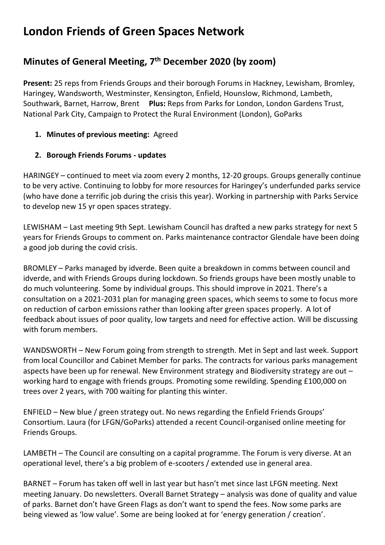# **London Friends of Green Spaces Network**

## **Minutes of General Meeting, 7 th December 2020 (by zoom)**

**Present:** 25 reps from Friends Groups and their borough Forums in Hackney, Lewisham, Bromley, Haringey, Wandsworth, Westminster, Kensington, Enfield, Hounslow, Richmond, Lambeth, Southwark, Barnet, Harrow, Brent **Plus:** Reps from Parks for London, London Gardens Trust, National Park City, Campaign to Protect the Rural Environment (London), GoParks

### **1. Minutes of previous meeting:** Agreed

#### **2. Borough Friends Forums - updates**

HARINGEY – continued to meet via zoom every 2 months, 12-20 groups. Groups generally continue to be very active. Continuing to lobby for more resources for Haringey's underfunded parks service (who have done a terrific job during the crisis this year). Working in partnership with Parks Service to develop new 15 yr open spaces strategy.

LEWISHAM – Last meeting 9th Sept. Lewisham Council has drafted a new parks strategy for next 5 years for Friends Groups to comment on. Parks maintenance contractor Glendale have been doing a good job during the covid crisis.

BROMLEY – Parks managed by idverde. Been quite a breakdown in comms between council and idverde, and with Friends Groups during lockdown. So friends groups have been mostly unable to do much volunteering. Some by individual groups. This should improve in 2021. There's a consultation on a 2021-2031 plan for managing green spaces, which seems to some to focus more on reduction of carbon emissions rather than looking after green spaces properly. A lot of feedback about issues of poor quality, low targets and need for effective action. Will be discussing with forum members.

WANDSWORTH – New Forum going from strength to strength. Met in Sept and last week. Support from local Councillor and Cabinet Member for parks. The contracts for various parks management aspects have been up for renewal. New Environment strategy and Biodiversity strategy are out – working hard to engage with friends groups. Promoting some rewilding. Spending £100,000 on trees over 2 years, with 700 waiting for planting this winter.

ENFIELD – New blue / green strategy out. No news regarding the Enfield Friends Groups' Consortium. Laura (for LFGN/GoParks) attended a recent Council-organised online meeting for Friends Groups.

LAMBETH – The Council are consulting on a capital programme. The Forum is very diverse. At an operational level, there's a big problem of e-scooters / extended use in general area.

BARNET – Forum has taken off well in last year but hasn't met since last LFGN meeting. Next meeting January. Do newsletters. Overall Barnet Strategy – analysis was done of quality and value of parks. Barnet don't have Green Flags as don't want to spend the fees. Now some parks are being viewed as 'low value'. Some are being looked at for 'energy generation / creation'.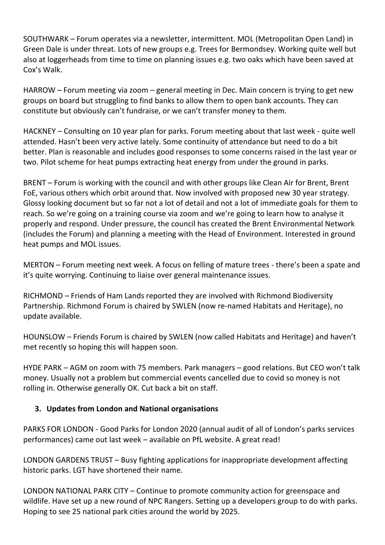SOUTHWARK – Forum operates via a newsletter, intermittent. MOL (Metropolitan Open Land) in Green Dale is under threat. Lots of new groups e.g. Trees for Bermondsey. Working quite well but also at loggerheads from time to time on planning issues e.g. two oaks which have been saved at Cox's Walk.

HARROW – Forum meeting via zoom – general meeting in Dec. Main concern is trying to get new groups on board but struggling to find banks to allow them to open bank accounts. They can constitute but obviously can't fundraise, or we can't transfer money to them.

HACKNEY – Consulting on 10 year plan for parks. Forum meeting about that last week - quite well attended. Hasn't been very active lately. Some continuity of attendance but need to do a bit better. Plan is reasonable and includes good responses to some concerns raised in the last year or two. Pilot scheme for heat pumps extracting heat energy from under the ground in parks.

BRENT – Forum is working with the council and with other groups like Clean Air for Brent, Brent FoE, various others which orbit around that. Now involved with proposed new 30 year strategy. Glossy looking document but so far not a lot of detail and not a lot of immediate goals for them to reach. So we're going on a training course via zoom and we're going to learn how to analyse it properly and respond. Under pressure, the council has created the Brent Environmental Network (includes the Forum) and planning a meeting with the Head of Environment. Interested in ground heat pumps and MOL issues.

MERTON – Forum meeting next week. A focus on felling of mature trees - there's been a spate and it's quite worrying. Continuing to liaise over general maintenance issues.

RICHMOND – Friends of Ham Lands reported they are involved with Richmond Biodiversity Partnership. Richmond Forum is chaired by SWLEN (now re-named Habitats and Heritage), no update available.

HOUNSLOW – Friends Forum is chaired by SWLEN (now called Habitats and Heritage) and haven't met recently so hoping this will happen soon.

HYDE PARK – AGM on zoom with 75 members. Park managers – good relations. But CEO won't talk money. Usually not a problem but commercial events cancelled due to covid so money is not rolling in. Otherwise generally OK. Cut back a bit on staff.

### **3. Updates from London and National organisations**

PARKS FOR LONDON - Good Parks for London 2020 (annual audit of all of London's parks services performances) came out last week – available on PfL website. A great read!

LONDON GARDENS TRUST – Busy fighting applications for inappropriate development affecting historic parks. LGT have shortened their name.

LONDON NATIONAL PARK CITY – Continue to promote community action for greenspace and wildlife. Have set up a new round of NPC Rangers. Setting up a developers group to do with parks. Hoping to see 25 national park cities around the world by 2025.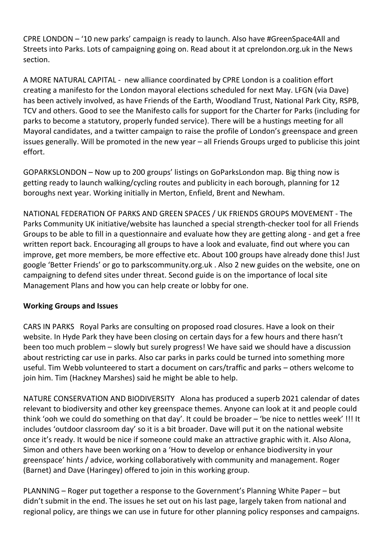CPRE LONDON – '10 new parks' campaign is ready to launch. Also have #GreenSpace4All and Streets into Parks. Lots of campaigning going on. Read about it at cprelondon.org.uk in the News section.

A MORE NATURAL CAPITAL - new alliance coordinated by CPRE London is a coalition effort creating a manifesto for the London mayoral elections scheduled for next May. LFGN (via Dave) has been actively involved, as have Friends of the Earth, Woodland Trust, National Park City, RSPB, TCV and others. Good to see the Manifesto calls for support for the Charter for Parks (including for parks to become a statutory, properly funded service). There will be a hustings meeting for all Mayoral candidates, and a twitter campaign to raise the profile of London's greenspace and green issues generally. Will be promoted in the new year – all Friends Groups urged to publicise this joint effort.

GOPARKSLONDON – Now up to 200 groups' listings on GoParksLondon map. Big thing now is getting ready to launch walking/cycling routes and publicity in each borough, planning for 12 boroughs next year. Working initially in Merton, Enfield, Brent and Newham.

NATIONAL FEDERATION OF PARKS AND GREEN SPACES / UK FRIENDS GROUPS MOVEMENT - The Parks Community UK initiative/website has launched a special strength-checker tool for all Friends Groups to be able to fill in a questionnaire and evaluate how they are getting along - and get a free written report back. Encouraging all groups to have a look and evaluate, find out where you can improve, get more members, be more effective etc. About 100 groups have already done this! Just google 'Better Friends' or go to parkscommunity.org.uk . Also 2 new guides on the website, one on campaigning to defend sites under threat. Second guide is on the importance of local site Management Plans and how you can help create or lobby for one.

### **Working Groups and Issues**

CARS IN PARKS Royal Parks are consulting on proposed road closures. Have a look on their website. In Hyde Park they have been closing on certain days for a few hours and there hasn't been too much problem – slowly but surely progress! We have said we should have a discussion about restricting car use in parks. Also car parks in parks could be turned into something more useful. Tim Webb volunteered to start a document on cars/traffic and parks – others welcome to join him. Tim (Hackney Marshes) said he might be able to help.

NATURE CONSERVATION AND BIODIVERSITY Alona has produced a superb 2021 calendar of dates relevant to biodiversity and other key greenspace themes. Anyone can look at it and people could think 'ooh we could do something on that day'. It could be broader – 'be nice to nettles week' !!! It includes 'outdoor classroom day' so it is a bit broader. Dave will put it on the national website once it's ready. It would be nice if someone could make an attractive graphic with it. Also Alona, Simon and others have been working on a 'How to develop or enhance biodiversity in your greenspace' hints / advice, working collaboratively with community and management. Roger (Barnet) and Dave (Haringey) offered to join in this working group.

PLANNING – Roger put together a response to the Government's Planning White Paper – but didn't submit in the end. The issues he set out on his last page, largely taken from national and regional policy, are things we can use in future for other planning policy responses and campaigns.